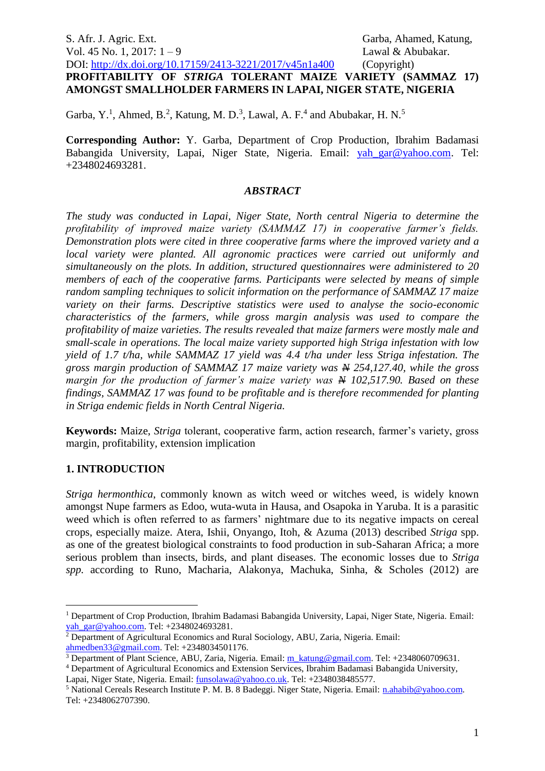# S. Afr. J. Agric. Ext. Garba, Ahamed, Katung, Vol. 45 No. 1, 2017: 1 – 9 Lawal & Abubakar. DOI: <http://dx.doi.org/10.17159/2413-3221/2017/v45n1a400> (Copyright) **PROFITABILITY OF** *STRIGA* **TOLERANT MAIZE VARIETY (SAMMAZ 17) AMONGST SMALLHOLDER FARMERS IN LAPAI, NIGER STATE, NIGERIA**

Garba, Y.<sup>1</sup>, Ahmed, B.<sup>2</sup>, Katung, M. D.<sup>3</sup>, Lawal, A. F.<sup>4</sup> and Abubakar, H. N.<sup>5</sup>

**Corresponding Author:** Y. Garba, Department of Crop Production, Ibrahim Badamasi Babangida University, Lapai, Niger State, Nigeria. Email: [yah\\_gar@yahoo.com.](mailto:yah_gar@yahoo.com) Tel: +2348024693281.

## *ABSTRACT*

*The study was conducted in Lapai, Niger State, North central Nigeria to determine the profitability of improved maize variety (SAMMAZ 17) in cooperative farmer's fields. Demonstration plots were cited in three cooperative farms where the improved variety and a local variety were planted. All agronomic practices were carried out uniformly and simultaneously on the plots. In addition, structured questionnaires were administered to 20 members of each of the cooperative farms. Participants were selected by means of simple random sampling techniques to solicit information on the performance of SAMMAZ 17 maize variety on their farms. Descriptive statistics were used to analyse the socio-economic characteristics of the farmers, while gross margin analysis was used to compare the profitability of maize varieties. The results revealed that maize farmers were mostly male and small-scale in operations. The local maize variety supported high Striga infestation with low yield of 1.7 t/ha, while SAMMAZ 17 yield was 4.4 t/ha under less Striga infestation. The gross margin production of SAMMAZ 17 maize variety was N 254,127.40, while the gross margin for the production of farmer's maize variety was*  $\frac{M}{V}$  *102,517.90. Based on these findings, SAMMAZ 17 was found to be profitable and is therefore recommended for planting in Striga endemic fields in North Central Nigeria.*

**Keywords:** Maize, *Striga* tolerant, cooperative farm, action research, farmer's variety, gross margin, profitability, extension implication

## **1. INTRODUCTION**

<u>.</u>

*Striga hermonthica*, commonly known as witch weed or witches weed, is widely known amongst Nupe farmers as Edoo, wuta-wuta in Hausa, and Osapoka in Yaruba. It is a parasitic weed which is often referred to as farmers' nightmare due to its negative impacts on cereal crops, especially maize. Atera, Ishii, Onyango, Itoh, & Azuma (2013) described *Striga* spp. as one of the greatest biological constraints to food production in sub-Saharan Africa; a more serious problem than insects, birds, and plant diseases. The economic losses due to *Striga spp.* according to Runo, Macharia, Alakonya, Machuka, Sinha, & Scholes (2012) are

<sup>&</sup>lt;sup>1</sup> Department of Crop Production, Ibrahim Badamasi Babangida University, Lapai, Niger State, Nigeria. Email: [yah\\_gar@yahoo.com.](mailto:yah_gar@yahoo.com) Tel: +2348024693281.

<sup>&</sup>lt;sup>2</sup> Department of Agricultural Economics and Rural Sociology, ABU, Zaria, Nigeria. Email: [ahmedben33@gmail.com.](mailto:ahmedben33@gmail.com) Tel: +2348034501176.

<sup>&</sup>lt;sup>3</sup> Department of Plant Science, ABU, Zaria, Nigeria. Email: [m\\_katung@gmail.com.](mailto:m_katung@gmail.com) Tel: +2348060709631.

<sup>4</sup> Department of Agricultural Economics and Extension Services, Ibrahim Badamasi Babangida University, Lapai, Niger State, Nigeria. Email: [funsolawa@yahoo.co.uk.](mailto:funsolawa@yahoo.co.uk) Tel: +2348038485577.

<sup>&</sup>lt;sup>5</sup> National Cereals Research Institute P. M. B. 8 Badeggi. Niger State, Nigeria. Email: [n.ahabib@yahoo.com.](mailto:n.ahabib@yahoo.com) Tel: +2348062707390.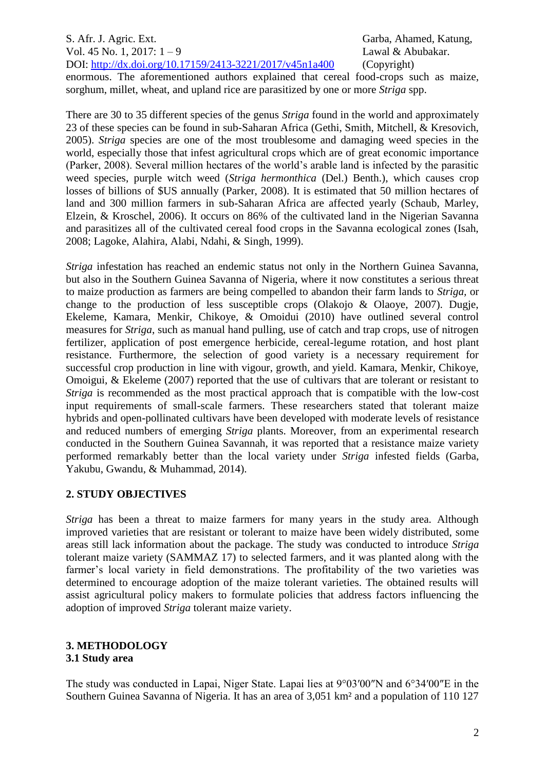S. Afr. J. Agric. Ext. Garba, Ahamed, Katung, Vol. 45 No. 1, 2017: 1 – 9 Lawal & Abubakar. DOI: <http://dx.doi.org/10.17159/2413-3221/2017/v45n1a400> (Copyright)

enormous. The aforementioned authors explained that cereal food-crops such as maize, sorghum, millet, wheat, and upland rice are parasitized by one or more *Striga* spp.

There are 30 to 35 different species of the genus *Striga* found in the world and approximately 23 of these species can be found in sub-Saharan Africa (Gethi, Smith, Mitchell, & Kresovich, 2005). *Striga* species are one of the most troublesome and damaging weed species in the world, especially those that infest agricultural crops which are of great economic importance (Parker, 2008). Several million hectares of the world's arable land is infected by the parasitic weed species, purple witch weed (*Striga hermonthica* (Del.) Benth.), which causes crop losses of billions of \$US annually (Parker, 2008). It is estimated that 50 million hectares of land and 300 million farmers in sub-Saharan Africa are affected yearly (Schaub, Marley, Elzein, & Kroschel, 2006). It occurs on 86% of the cultivated land in the Nigerian Savanna and parasitizes all of the cultivated cereal food crops in the Savanna ecological zones (Isah, 2008; Lagoke, Alahira, Alabi, Ndahi, & Singh, 1999).

*Striga* infestation has reached an endemic status not only in the Northern Guinea Savanna, but also in the Southern Guinea Savanna of Nigeria, where it now constitutes a serious threat to maize production as farmers are being compelled to abandon their farm lands to *Striga,* or change to the production of less susceptible crops (Olakojo & Olaoye, 2007). Dugje, Ekeleme, Kamara, Menkir, Chikoye, & Omoidui (2010) have outlined several control measures for *Striga*, such as manual hand pulling, use of catch and trap crops, use of nitrogen fertilizer, application of post emergence herbicide, cereal-legume rotation, and host plant resistance. Furthermore, the selection of good variety is a necessary requirement for successful crop production in line with vigour, growth, and yield. Kamara, Menkir, Chikoye, Omoigui, & Ekeleme (2007) reported that the use of cultivars that are tolerant or resistant to *Striga* is recommended as the most practical approach that is compatible with the low-cost input requirements of small-scale farmers. These researchers stated that tolerant maize hybrids and open-pollinated cultivars have been developed with moderate levels of resistance and reduced numbers of emerging *Striga* plants. Moreover, from an experimental research conducted in the Southern Guinea Savannah, it was reported that a resistance maize variety performed remarkably better than the local variety under *Striga* infested fields (Garba, Yakubu, Gwandu, & Muhammad, 2014).

## **2. STUDY OBJECTIVES**

*Striga* has been a threat to maize farmers for many years in the study area. Although improved varieties that are resistant or tolerant to maize have been widely distributed, some areas still lack information about the package. The study was conducted to introduce *Striga*  tolerant maize variety (SAMMAZ 17) to selected farmers, and it was planted along with the farmer's local variety in field demonstrations. The profitability of the two varieties was determined to encourage adoption of the maize tolerant varieties. The obtained results will assist agricultural policy makers to formulate policies that address factors influencing the adoption of improved *Striga* tolerant maize variety.

#### **3. METHODOLOGY 3.1 Study area**

The study was conducted in Lapai, Niger State. Lapai lies at 9°03′00″N and 6°34′00″E in the Southern Guinea Savanna of Nigeria. It has an area of 3,051 km² and a population of 110 127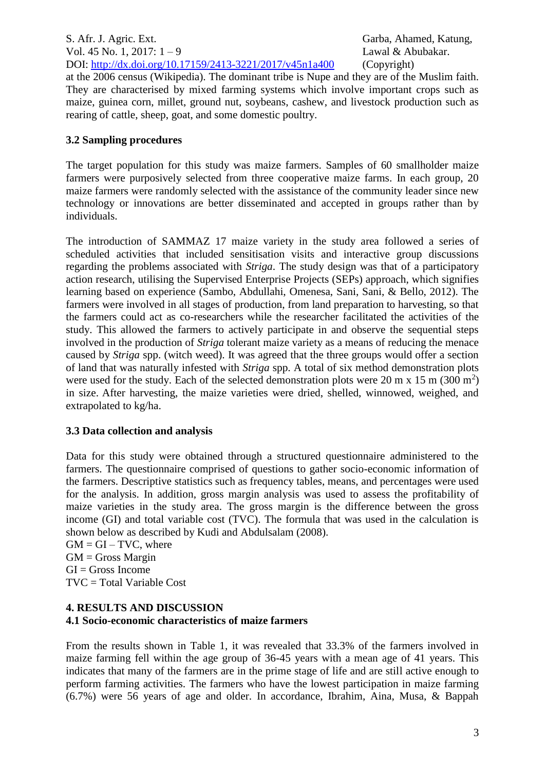S. Afr. J. Agric. Ext. Garba, Ahamed, Katung, Vol. 45 No. 1, 2017: 1 – 9 Lawal & Abubakar. DOI: <http://dx.doi.org/10.17159/2413-3221/2017/v45n1a400> (Copyright)

at the 2006 census (Wikipedia). The dominant tribe is Nupe and they are of the Muslim faith. They are characterised by mixed farming systems which involve important crops such as maize, guinea corn, millet, ground nut, soybeans, cashew, and livestock production such as rearing of cattle, sheep, goat, and some domestic poultry.

## **3.2 Sampling procedures**

The target population for this study was maize farmers. Samples of 60 smallholder maize farmers were purposively selected from three cooperative maize farms. In each group, 20 maize farmers were randomly selected with the assistance of the community leader since new technology or innovations are better disseminated and accepted in groups rather than by individuals.

The introduction of SAMMAZ 17 maize variety in the study area followed a series of scheduled activities that included sensitisation visits and interactive group discussions regarding the problems associated with *Striga*. The study design was that of a participatory action research, utilising the Supervised Enterprise Projects (SEPs) approach, which signifies learning based on experience (Sambo, Abdullahi, Omenesa, Sani, Sani, & Bello, 2012). The farmers were involved in all stages of production, from land preparation to harvesting, so that the farmers could act as co-researchers while the researcher facilitated the activities of the study. This allowed the farmers to actively participate in and observe the sequential steps involved in the production of *Striga* tolerant maize variety as a means of reducing the menace caused by *Striga* spp. (witch weed). It was agreed that the three groups would offer a section of land that was naturally infested with *Striga* spp. A total of six method demonstration plots were used for the study. Each of the selected demonstration plots were 20 m x 15 m (300 m<sup>2</sup>) in size. After harvesting, the maize varieties were dried, shelled, winnowed, weighed, and extrapolated to kg/ha.

## **3.3 Data collection and analysis**

Data for this study were obtained through a structured questionnaire administered to the farmers. The questionnaire comprised of questions to gather socio-economic information of the farmers. Descriptive statistics such as frequency tables, means, and percentages were used for the analysis. In addition, gross margin analysis was used to assess the profitability of maize varieties in the study area. The gross margin is the difference between the gross income (GI) and total variable cost (TVC). The formula that was used in the calculation is shown below as described by Kudi and Abdulsalam (2008).

 $GM = GI - TVC$ , where  $GM =$  Gross Margin  $GI = Gross$  Income TVC = Total Variable Cost

## **4. RESULTS AND DISCUSSION 4.1 Socio-economic characteristics of maize farmers**

From the results shown in Table 1, it was revealed that 33.3% of the farmers involved in maize farming fell within the age group of 36-45 years with a mean age of 41 years. This indicates that many of the farmers are in the prime stage of life and are still active enough to perform farming activities. The farmers who have the lowest participation in maize farming (6.7%) were 56 years of age and older. In accordance, Ibrahim, Aina, Musa, & Bappah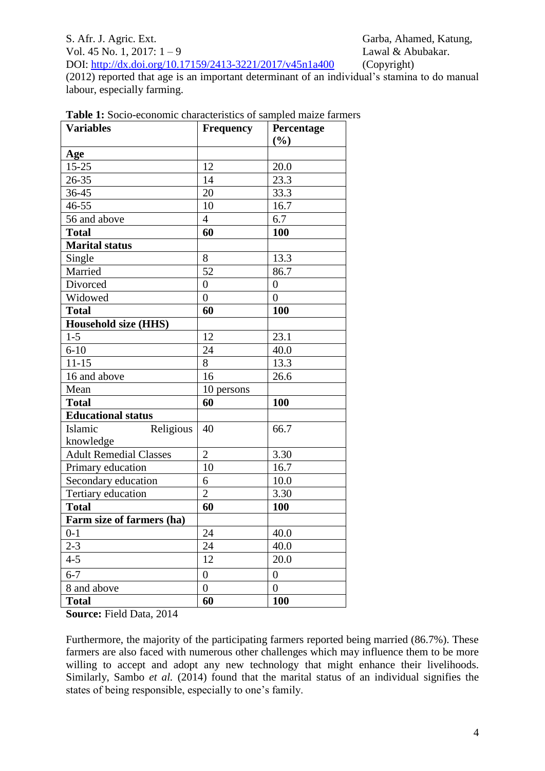#### S. Afr. J. Agric. Ext. Garba, Ahamed, Katung, Vol. 45 No. 1, 2017: 1 – 9 Lawal & Abubakar. DOI: <http://dx.doi.org/10.17159/2413-3221/2017/v45n1a400> (Copyright)

(2012) reported that age is an important determinant of an individual's stamina to do manual labour, especially farming.

| <b>Variables</b>                  | <b>Frequency</b> | Percentage<br>(%) |
|-----------------------------------|------------------|-------------------|
| Age                               |                  |                   |
| $15 - 25$                         | 12               | 20.0              |
| 26-35                             | 14               | 23.3              |
| $36 - 45$                         | 20               | 33.3              |
| 46-55                             | 10               | 16.7              |
| 56 and above                      | $\overline{4}$   | 6.7               |
| <b>Total</b>                      | 60               | 100               |
| <b>Marital status</b>             |                  |                   |
| Single                            | 8                | 13.3              |
| Married                           | 52               | 86.7              |
| Divorced                          | $\overline{0}$   | $\boldsymbol{0}$  |
| Widowed                           | $\boldsymbol{0}$ | $\boldsymbol{0}$  |
| <b>Total</b>                      | 60               | 100               |
| <b>Household size (HHS)</b>       |                  |                   |
| $1 - 5$                           | 12               | 23.1              |
| $6 - 10$                          | 24               | 40.0              |
| $11 - 15$                         | 8                | 13.3              |
| 16 and above                      | 16               | 26.6              |
| Mean                              | 10 persons       |                   |
| <b>Total</b>                      | 60               | 100               |
| <b>Educational status</b>         |                  |                   |
| Islamic<br>Religious<br>knowledge | 40               | 66.7              |
| <b>Adult Remedial Classes</b>     | $\overline{2}$   | 3.30              |
| Primary education                 | 10               | 16.7              |
| Secondary education               | 6                | 10.0              |
| Tertiary education                | $\overline{2}$   | 3.30              |
| <b>Total</b>                      | 60               | 100               |
| Farm size of farmers (ha)         |                  |                   |
| $0 - 1$                           | 24               | 40.0              |
| $2 - 3$                           | 24               | 40.0              |
| $4 - 5$                           | 12               | 20.0              |
| $6 - 7$                           | $\overline{0}$   | $\boldsymbol{0}$  |
| 8 and above                       | $\overline{0}$   | $\overline{0}$    |
| <b>Total</b>                      | 60               | 100               |

| <b>Table 1:</b> Socio-economic characteristics of sampled maize farmers |  |  |  |  |  |  |
|-------------------------------------------------------------------------|--|--|--|--|--|--|
|-------------------------------------------------------------------------|--|--|--|--|--|--|

**Source:** Field Data, 2014

Furthermore, the majority of the participating farmers reported being married (86.7%). These farmers are also faced with numerous other challenges which may influence them to be more willing to accept and adopt any new technology that might enhance their livelihoods. Similarly, Sambo *et al.* (2014) found that the marital status of an individual signifies the states of being responsible, especially to one's family.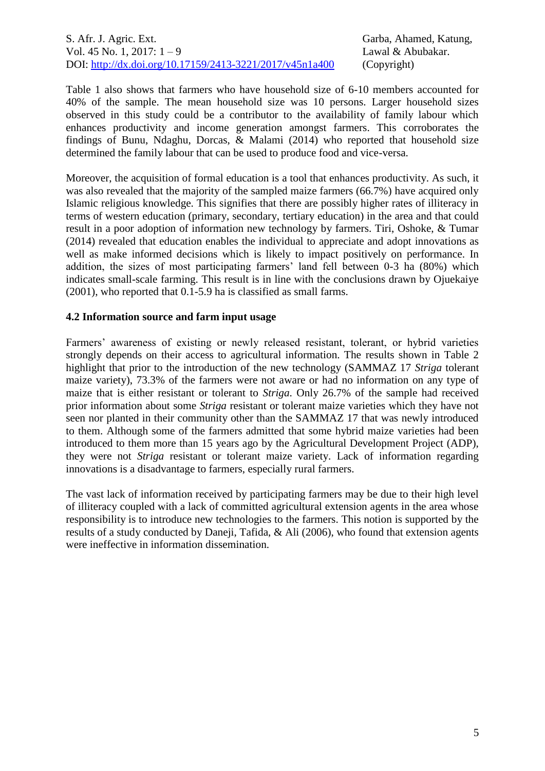Table 1 also shows that farmers who have household size of 6-10 members accounted for 40% of the sample. The mean household size was 10 persons. Larger household sizes observed in this study could be a contributor to the availability of family labour which enhances productivity and income generation amongst farmers. This corroborates the findings of Bunu, Ndaghu, Dorcas, & Malami (2014) who reported that household size determined the family labour that can be used to produce food and vice-versa.

Moreover, the acquisition of formal education is a tool that enhances productivity. As such, it was also revealed that the majority of the sampled maize farmers (66.7%) have acquired only Islamic religious knowledge. This signifies that there are possibly higher rates of illiteracy in terms of western education (primary, secondary, tertiary education) in the area and that could result in a poor adoption of information new technology by farmers. Tiri, Oshoke, & Tumar (2014) revealed that education enables the individual to appreciate and adopt innovations as well as make informed decisions which is likely to impact positively on performance. In addition, the sizes of most participating farmers' land fell between 0-3 ha (80%) which indicates small-scale farming. This result is in line with the conclusions drawn by Ojuekaiye (2001), who reported that 0.1-5.9 ha is classified as small farms.

#### **4.2 Information source and farm input usage**

Farmers' awareness of existing or newly released resistant, tolerant, or hybrid varieties strongly depends on their access to agricultural information. The results shown in Table 2 highlight that prior to the introduction of the new technology (SAMMAZ 17 *Striga* tolerant maize variety), 73.3% of the farmers were not aware or had no information on any type of maize that is either resistant or tolerant to *Striga*. Only 26.7% of the sample had received prior information about some *Striga* resistant or tolerant maize varieties which they have not seen nor planted in their community other than the SAMMAZ 17 that was newly introduced to them. Although some of the farmers admitted that some hybrid maize varieties had been introduced to them more than 15 years ago by the Agricultural Development Project (ADP), they were not *Striga* resistant or tolerant maize variety. Lack of information regarding innovations is a disadvantage to farmers, especially rural farmers.

The vast lack of information received by participating farmers may be due to their high level of illiteracy coupled with a lack of committed agricultural extension agents in the area whose responsibility is to introduce new technologies to the farmers. This notion is supported by the results of a study conducted by Daneji, Tafida, & Ali (2006), who found that extension agents were ineffective in information dissemination.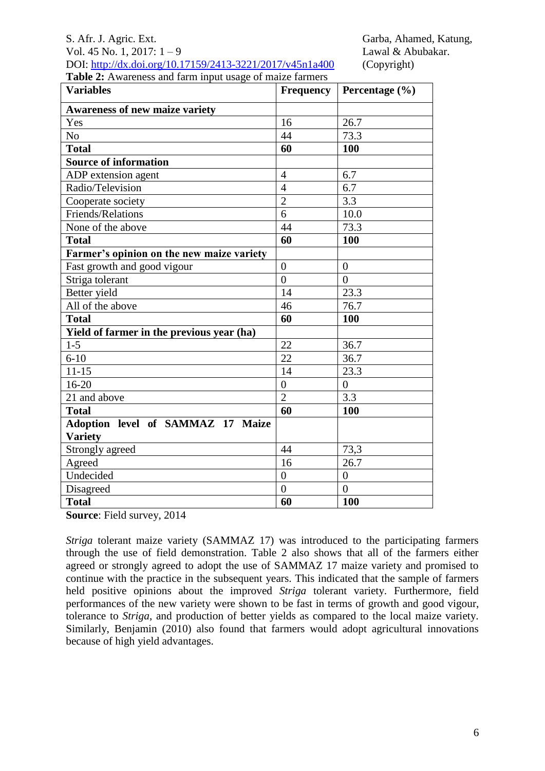## S. Afr. J. Agric. Ext. Garba, Ahamed, Katung, Vol. 45 No. 1, 2017: 1 – 9 Lawal & Abubakar. DOI: <http://dx.doi.org/10.17159/2413-3221/2017/v45n1a400> (Copyright)

| DOI, 11up.//04.001.01g/10.17133/2413-3221/2017/143111a400 |  |  |
|-----------------------------------------------------------|--|--|
| Table 2: Awareness and farm input usage of maize farmers  |  |  |

| <b>Variables</b>                          |                | Frequency   Percentage $(\% )$ |
|-------------------------------------------|----------------|--------------------------------|
| <b>Awareness of new maize variety</b>     |                |                                |
| Yes                                       | 16             | 26.7                           |
| N <sub>o</sub>                            | 44             | 73.3                           |
| <b>Total</b>                              | 60             | 100                            |
| <b>Source of information</b>              |                |                                |
| ADP extension agent                       | $\overline{4}$ | 6.7                            |
| Radio/Television                          | $\overline{4}$ | 6.7                            |
| Cooperate society                         | $\overline{2}$ | 3.3                            |
| Friends/Relations                         | 6              | 10.0                           |
| None of the above                         | 44             | 73.3                           |
| <b>Total</b>                              | 60             | 100                            |
| Farmer's opinion on the new maize variety |                |                                |
| Fast growth and good vigour               | $\overline{0}$ | $\overline{0}$                 |
| Striga tolerant                           | $\theta$       | $\theta$                       |
| Better yield                              | 14             | 23.3                           |
| All of the above                          | 46             | 76.7                           |
| <b>Total</b>                              | 60             | 100                            |
| Yield of farmer in the previous year (ha) |                |                                |
| $1 - 5$                                   | 22             | 36.7                           |
| $6 - 10$                                  | 22             | 36.7                           |
| $11 - 15$                                 | 14             | 23.3                           |
| $16 - 20$                                 | $\overline{0}$ | $\overline{0}$                 |
| 21 and above                              | $\overline{2}$ | 3.3                            |
| <b>Total</b>                              | 60             | 100                            |
| Adoption level of SAMMAZ 17 Maize         |                |                                |
| <b>Variety</b>                            |                |                                |
| Strongly agreed                           | 44             | 73,3                           |
| Agreed                                    | 16             | 26.7                           |
| Undecided                                 | $\overline{0}$ | $\overline{0}$                 |
| Disagreed                                 | $\theta$       | $\overline{0}$                 |
| <b>Total</b>                              | 60             | 100                            |

**Source**: Field survey, 2014

*Striga* tolerant maize variety (SAMMAZ 17) was introduced to the participating farmers through the use of field demonstration. Table 2 also shows that all of the farmers either agreed or strongly agreed to adopt the use of SAMMAZ 17 maize variety and promised to continue with the practice in the subsequent years. This indicated that the sample of farmers held positive opinions about the improved *Striga* tolerant variety. Furthermore, field performances of the new variety were shown to be fast in terms of growth and good vigour, tolerance to *Striga*, and production of better yields as compared to the local maize variety. Similarly, Benjamin (2010) also found that farmers would adopt agricultural innovations because of high yield advantages.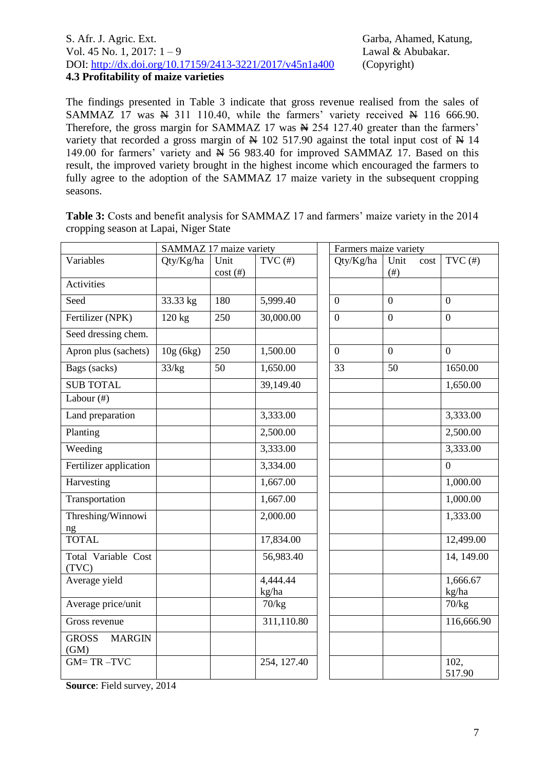#### S. Afr. J. Agric. Ext. Garba, Ahamed, Katung, Vol. 45 No. 1, 2017: 1 – 9 Lawal & Abubakar. DOI: <http://dx.doi.org/10.17159/2413-3221/2017/v45n1a400> (Copyright) **4.3 Profitability of maize varieties**

The findings presented in Table 3 indicate that gross revenue realised from the sales of SAMMAZ 17 was  $\cancel{N}$  311 110.40, while the farmers' variety received  $\cancel{N}$  116 666.90. Therefore, the gross margin for SAMMAZ 17 was  $\cancel{R}$  254 127.40 greater than the farmers' variety that recorded a gross margin of  $\cancel{\text{N}}$  102 517.90 against the total input cost of  $\cancel{\text{N}}$  14 149.00 for farmers' variety and  $\cancel{H}$  56 983.40 for improved SAMMAZ 17. Based on this result, the improved variety brought in the highest income which encouraged the farmers to fully agree to the adoption of the SAMMAZ 17 maize variety in the subsequent cropping seasons.

|                                       | SAMMAZ 17 maize variety |                    |                   | Farmers maize variety |                           |                          |
|---------------------------------------|-------------------------|--------------------|-------------------|-----------------------|---------------------------|--------------------------|
| Variables                             | Qty/Kg/ha               | Unit<br>$cost$ (#) | $TVC$ (#)         | Qty/Kg/ha             | Unit<br>cost<br>$($ # $)$ | $TVC$ (#)                |
| Activities                            |                         |                    |                   |                       |                           |                          |
| Seed                                  | 33.33 kg                | 180                | 5,999.40          | $\overline{0}$        | $\overline{0}$            | $\overline{0}$           |
| Fertilizer (NPK)                      | 120 kg                  | 250                | 30,000.00         | $\overline{0}$        | $\overline{0}$            | $\overline{0}$           |
| Seed dressing chem.                   |                         |                    |                   |                       |                           |                          |
| Apron plus (sachets)                  | 10g (6kg)               | 250                | 1,500.00          | $\overline{0}$        | $\overline{0}$            | $\overline{0}$           |
| Bags (sacks)                          | 33/kg                   | 50                 | 1,650.00          | 33                    | 50                        | 1650.00                  |
| <b>SUB TOTAL</b>                      |                         |                    | 39,149.40         |                       |                           | 1,650.00                 |
| Labour (#)                            |                         |                    |                   |                       |                           |                          |
| Land preparation                      |                         |                    | 3,333.00          |                       |                           | 3,333.00                 |
| Planting                              |                         |                    | 2,500.00          |                       |                           | 2,500.00                 |
| Weeding                               |                         |                    | 3,333.00          |                       |                           | 3,333.00                 |
| Fertilizer application                |                         |                    | 3,334.00          |                       |                           | $\overline{0}$           |
| Harvesting                            |                         |                    | 1,667.00          |                       |                           | 1,000.00                 |
| Transportation                        |                         |                    | 1,667.00          |                       |                           | 1,000.00                 |
| Threshing/Winnowi<br>ng               |                         |                    | 2,000.00          |                       |                           | 1,333.00                 |
| <b>TOTAL</b>                          |                         |                    | 17,834.00         |                       |                           | 12,499.00                |
| Total Variable Cost<br>(TVC)          |                         |                    | 56,983.40         |                       |                           | $\overline{14}$ , 149.00 |
| Average yield                         |                         |                    | 4,444.44<br>kg/ha |                       |                           | 1,666.67<br>kg/ha        |
| Average price/unit                    |                         |                    | 70/kg             |                       |                           | 70/kg                    |
| Gross revenue                         |                         |                    | 311,110.80        |                       |                           | 116,666.90               |
| <b>GROSS</b><br><b>MARGIN</b><br>(GM) |                         |                    |                   |                       |                           |                          |
| $GM = TR - TVC$                       |                         |                    | 254, 127.40       |                       |                           | 102,<br>517.90           |

**Table 3:** Costs and benefit analysis for SAMMAZ 17 and farmers' maize variety in the 2014 cropping season at Lapai, Niger State

**Source**: Field survey, 2014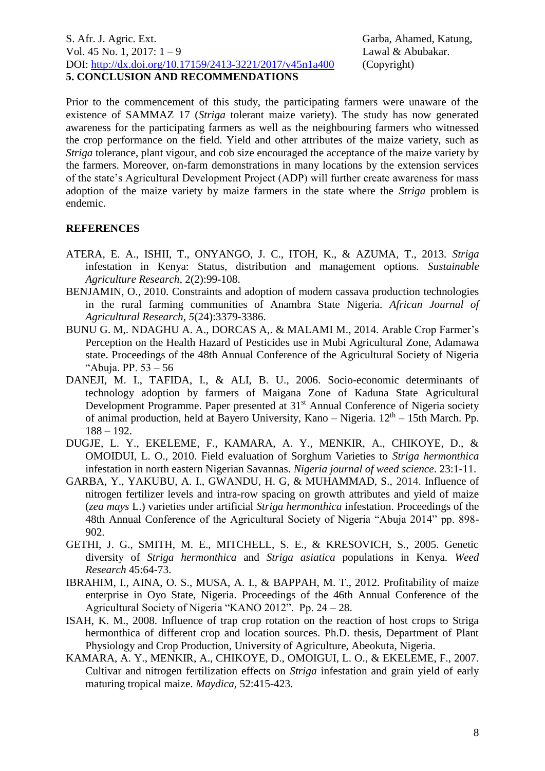Prior to the commencement of this study, the participating farmers were unaware of the existence of SAMMAZ 17 (*Striga* tolerant maize variety). The study has now generated awareness for the participating farmers as well as the neighbouring farmers who witnessed the crop performance on the field. Yield and other attributes of the maize variety, such as *Striga* tolerance, plant vigour, and cob size encouraged the acceptance of the maize variety by the farmers. Moreover, on-farm demonstrations in many locations by the extension services of the state's Agricultural Development Project (ADP) will further create awareness for mass adoption of the maize variety by maize farmers in the state where the *Striga* problem is endemic.

# **REFERENCES**

- ATERA, E. A., ISHII, T., ONYANGO, J. C., ITOH, K., & AZUMA, T., 2013. *Striga*  infestation in Kenya: Status, distribution and management options. *Sustainable Agriculture Research,* 2(2):99-108.
- BENJAMIN, O., 2010. Constraints and adoption of modern cassava production technologies in the rural farming communities of Anambra State Nigeria. *African Journal of Agricultural Research, 5*(24):3379-3386.
- BUNU G. M,. NDAGHU A. A., DORCAS A,. & MALAMI M., 2014. Arable Crop Farmer's Perception on the Health Hazard of Pesticides use in Mubi Agricultural Zone, Adamawa state. Proceedings of the 48th Annual Conference of the Agricultural Society of Nigeria "Abuja. PP. 53 – 56
- DANEJI, M. I., TAFIDA, I., & ALI, B. U., 2006. Socio-economic determinants of technology adoption by farmers of Maigana Zone of Kaduna State Agricultural Development Programme. Paper presented at 31<sup>st</sup> Annual Conference of Nigeria society of animal production, held at Bayero University, Kano - Nigeria.  $12<sup>th</sup> - 15$ th March. Pp. 188 – 192.
- DUGJE, L. Y., EKELEME, F., KAMARA, A. Y., MENKIR, A., CHIKOYE, D., & OMOIDUI, L. O., 2010. Field evaluation of Sorghum Varieties to *Striga hermonthica* infestation in north eastern Nigerian Savannas. *Nigeria journal of weed science*. 23:1-11.
- GARBA, Y., YAKUBU, A. I., GWANDU, H. G, & MUHAMMAD, S., 2014. Influence of nitrogen fertilizer levels and intra-row spacing on growth attributes and yield of maize (*zea mays* L.) varieties under artificial *Striga hermonthica* infestation. Proceedings of the 48th Annual Conference of the Agricultural Society of Nigeria "Abuja 2014" pp. 898- 902.
- GETHI, J. G., SMITH, M. E., MITCHELL, S. E., & KRESOVICH, S., 2005. Genetic diversity of *Striga hermonthica* and *Striga asiatica* populations in Kenya. *Weed Research* 45:64-73.
- IBRAHIM, I., AINA, O. S., MUSA, A. I., & BAPPAH, M. T., 2012. Profitability of maize enterprise in Oyo State, Nigeria. Proceedings of the 46th Annual Conference of the Agricultural Society of Nigeria "KANO 2012". Pp. 24 – 28.
- ISAH, K. M., 2008. Influence of trap crop rotation on the reaction of host crops to Striga hermonthica of different crop and location sources. Ph.D. thesis, Department of Plant Physiology and Crop Production, University of Agriculture, Abeokuta, Nigeria.
- KAMARA, A. Y., MENKIR, A., CHIKOYE, D., OMOIGUI, L. O., & EKELEME, F., 2007. Cultivar and nitrogen fertilization effects on *Striga* infestation and grain yield of early maturing tropical maize. *Maydica,* 52:415-423.